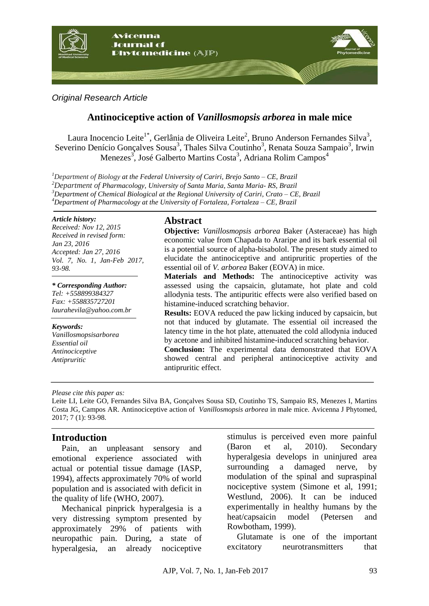

*Original Research Article*

# **Antinociceptive action of** *Vanillosmopsis arborea* **in male mice**

Laura Inocencio Leite<sup>1\*</sup>, Gerlânia de Oliveira Leite<sup>2</sup>, Bruno Anderson Fernandes Silva<sup>3</sup>, Severino Denício Gonçalves Sousa<sup>3</sup>, Thales Silva Coutinho<sup>3</sup>, Renata Souza Sampaio<sup>3</sup>, Irwin Menezes<sup>3</sup>, José Galberto Martins Costa<sup>3</sup>, Adriana Rolim Campos<sup>4</sup>

*Department of Biology at the Federal University of Cariri, Brejo Santo – CE, Brazil Department of Pharmacology, University of Santa Maria, Santa Maria- RS, Brazil Department of Chemical Biological at the Regional University of Cariri, Crato – CE, Brazil Department of Pharmacology at the University of Fortaleza, Fortaleza – CE, Brazil*

#### *Article history:*

*Received: Nov 12, 2015 Received in revised form: Jan 23, 2016 Accepted: Jan 27, 2016 Vol. 7, No. 1, Jan-Feb 2017, 93-98.*

*\* Corresponding Author: Tel: +558899384327 Fax: +558835727201 [laurahevila@yahoo.com.br](mailto:laurahevila@yahoo.com.br)*

*Keywords: Vanillosmopsisarborea Essential oil Antinociceptive Antipruritic*

### **Abstract**

**Objective:** *Vanillosmopsis arborea* Baker (Asteraceae) has high economic value from Chapada to Araripe and its bark essential oil is a potential source of alpha-bisabolol. The present study aimed to elucidate the antinociceptive and antipruritic properties of the essential oil of *V. arborea* Baker (EOVA) in mice.

**Materials and Methods:** The antinociceptive activity was assessed using the capsaicin, glutamate, hot plate and cold allodynia tests. The antipuritic effects were also verified based on histamine-induced scratching behavior.

**Results:** EOVA reduced the paw licking induced by capsaicin, but not that induced by glutamate. The essential oil increased the latency time in the hot plate, attenuated the cold allodynia induced by acetone and inhibited histamine-induced scratching behavior.

**Conclusion:** The experimental data demonstrated that EOVA showed central and peripheral antinociceptive activity and antipruritic effect.

*Please cite this paper as:* 

Leite LI, Leite GO, Fernandes Silva BA, Gonçalves Sousa SD, Coutinho TS, Sampaio RS, Menezes I, Martins Costa JG, Campos AR. Antinociceptive action of *Vanillosmopsis arborea* in male mice. Avicenna J Phytomed, 2017; 7 (1): 93-98.

## **Introduction**

Pain, an unpleasant sensory and emotional experience associated with actual or potential tissue damage (IASP, 1994), affects approximately 70% of world population and is associated with deficit in the quality of life (WHO, 2007).

Mechanical pinprick hyperalgesia is a very distressing symptom presented by approximately 29% of patients with neuropathic pain. During, a state of hyperalgesia, an already nociceptive stimulus is perceived even more painful (Baron et al, 2010). Secondary hyperalgesia develops in uninjured area surrounding a damaged nerve, by modulation of the spinal and supraspinal nociceptive system (Simone et al, 1991; Westlund, 2006). It can be induced experimentally in healthy humans by the heat/capsaicin model (Petersen and Rowbotham, 1999).

Glutamate is one of the important excitatory neurotransmitters that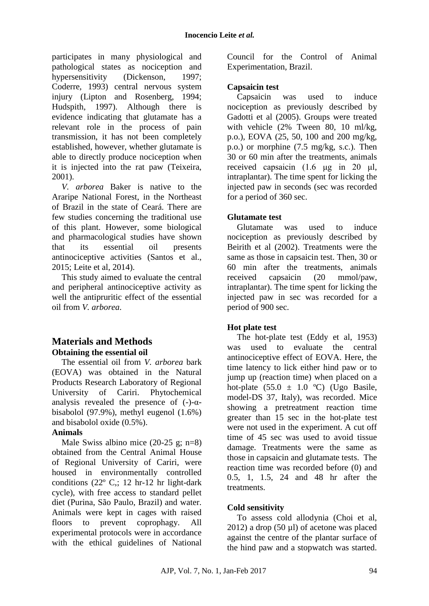participates in many physiological and pathological states as nociception and hypersensitivity (Dickenson, 1997; Coderre, 1993) central nervous system injury (Lipton and Rosenberg, 1994; Hudspith, 1997). Although there is evidence indicating that glutamate has a relevant role in the process of pain transmission, it has not been completely established, however, whether glutamate is able to directly produce nociception when it is injected into the rat paw (Teixeira, 2001).

*V. arborea* Baker is native to the Araripe National Forest, in the Northeast of Brazil in the state of Ceará. There are few studies concerning the traditional use of this plant. However, some biological and pharmacological studies have shown that its essential oil presents antinociceptive activities (Santos et al., 2015; Leite et al, 2014).

This study aimed to evaluate the central and peripheral antinociceptive activity as well the antipruritic effect of the essential oil from *V. arborea*.

### **Materials and Methods Obtaining the essential oil**

The essential oil from *V. arborea* bark (EOVA) was obtained in the Natural Products Research Laboratory of Regional University of Cariri. Phytochemical analysis revealed the presence of  $(-)-\alpha$ bisabolol (97.9%), methyl eugenol (1.6%) and bisabolol oxide (0.5%).

### **Animals**

Male Swiss albino mice  $(20-25 \text{ g}; \text{ n=8})$ obtained from the Central Animal House of Regional University of Cariri, were housed in environmentally controlled conditions (22º C,; 12 hr-12 hr light-dark cycle), with free access to standard pellet diet (Purina, São Paulo, Brazil) and water. Animals were kept in cages with raised floors to prevent coprophagy. All experimental protocols were in accordance with the ethical guidelines of National Council for the Control of Animal Experimentation, Brazil.

### **Capsaicin test**

Capsaicin was used to induce nociception as previously described by Gadotti et al (2005). Groups were treated with vehicle (2% Tween 80, 10 ml/kg, p.o.), EOVA (25, 50, 100 and 200 mg/kg, p.o.) or morphine (7.5 mg/kg, s.c.). Then 30 or 60 min after the treatments, animals received capsaicin (1.6 μg in 20 μl, intraplantar). The time spent for licking the injected paw in seconds (sec was recorded for a period of 360 sec.

### **Glutamate test**

Glutamate was used to induce nociception as previously described by Beirith et al (2002). Treatments were the same as those in capsaicin test. Then, 30 or 60 min after the treatments, animals received capsaicin (20 mmol/paw, intraplantar). The time spent for licking the injected paw in sec was recorded for a period of 900 sec.

### **Hot plate test**

The hot-plate test (Eddy et al, 1953) was used to evaluate the central antinociceptive effect of EOVA. Here, the time latency to lick either hind paw or to jump up (reaction time) when placed on a hot-plate  $(55.0 \pm 1.0 \degree C)$  (Ugo Basile, model-DS 37, Italy), was recorded. Mice showing a pretreatment reaction time greater than 15 sec in the hot-plate test were not used in the experiment. A cut off time of 45 sec was used to avoid tissue damage. Treatments were the same as those in capsaicin and glutamate tests. The reaction time was recorded before (0) and 0.5, 1, 1.5, 24 and 48 hr after the treatments.

### **Cold sensitivity**

To assess cold allodynia (Choi et al,  $2012$ ) a drop (50 µl) of acetone was placed against the centre of the plantar surface of the hind paw and a stopwatch was started.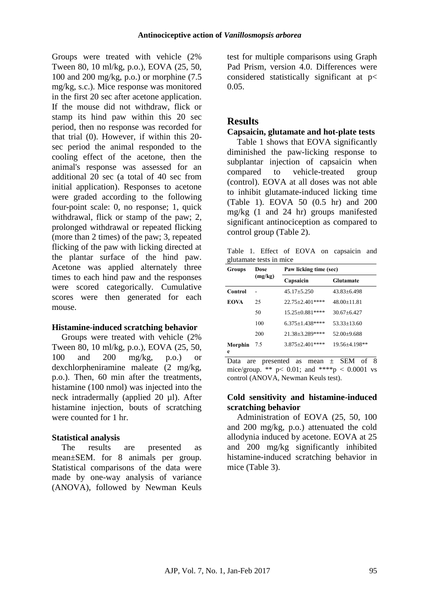Groups were treated with vehicle (2% Tween 80, 10 ml/kg, p.o.), EOVA (25, 50, 100 and 200 mg/kg, p.o.) or morphine (7.5 mg/kg, s.c.). Mice response was monitored in the first 20 sec after acetone application. If the mouse did not withdraw, flick or stamp its hind paw within this 20 sec period, then no response was recorded for that trial (0). However, if within this 20 sec period the animal responded to the cooling effect of the acetone, then the animal's response was assessed for an additional 20 sec (a total of 40 sec from initial application). Responses to acetone were graded according to the following four-point scale: 0, no response; 1, quick withdrawal, flick or stamp of the paw; 2, prolonged withdrawal or repeated flicking (more than 2 times) of the paw; 3, repeated flicking of the paw with licking directed at the plantar surface of the hind paw. Acetone was applied alternately three times to each hind paw and the responses were scored categorically. Cumulative scores were then generated for each mouse.

### **Histamine-induced scratching behavior**

Groups were treated with vehicle (2% Tween 80, 10 ml/kg, p.o.), EOVA (25, 50, 100 and 200 mg/kg, p.o.) or dexchlorpheniramine maleate (2 mg/kg, p.o.). Then, 60 min after the treatments, histamine (100 nmol) was injected into the neck intradermally (applied 20 µl). After histamine injection, bouts of scratching were counted for 1 hr.

### **Statistical analysis**

The results are presented as mean±SEM. for 8 animals per group. Statistical comparisons of the data were made by one-way analysis of variance (ANOVA), followed by Newman Keuls test for multiple comparisons using Graph Pad Prism, version 4.0. Differences were considered statistically significant at p< 0.05.

### **Results**

### **Capsaicin, glutamate and hot-plate tests**

Table 1 shows that EOVA significantly diminished the paw-licking response to subplantar injection of capsaicin when compared to vehicle-treated group (control). EOVA at all doses was not able to inhibit glutamate-induced licking time (Table 1). EOVA 50 (0.5 hr) and 200 mg/kg (1 and 24 hr) groups manifested significant antinociception as compared to control group (Table 2).

Table 1. Effect of EOVA on capsaicin and glutamate tests in mice

| Groups       | Dose<br>(mg/kg) | Paw licking time (sec) |                  |  |
|--------------|-----------------|------------------------|------------------|--|
|              |                 | Capsaicin              | <b>Glutamate</b> |  |
| Control      |                 | $45.17 + 5.250$        | $43.83 + 6.498$  |  |
| <b>EOVA</b>  | 25              | $22.75 + 2.401$ ****   | $48.00 + 11.81$  |  |
|              | 50              | $15.25 + 0.881$ ****   | $30.67 + 6.427$  |  |
|              | 100             | $6.375 + 1.438$ ****   | $53.33 + 13.60$  |  |
|              | 200             | $21.38 + 3.289$ ****   | $52.00+9.688$    |  |
| Morphin<br>e | 7.5             | $3.875 + 2.401$ ****   | 19.56±4.198**    |  |

Data are presented as mean  $\pm$  SEM of 8 mice/group. \*\*  $p < 0.01$ ; and \*\*\*\*p  $\le 0.0001$  vs control (ANOVA, Newman Keuls test).

### **Cold sensitivity and histamine-induced scratching behavior**

Administration of EOVA (25, 50, 100 and 200 mg/kg, p.o.) attenuated the cold allodynia induced by acetone. EOVA at 25 and 200 mg/kg significantly inhibited histamine-induced scratching behavior in mice (Table 3).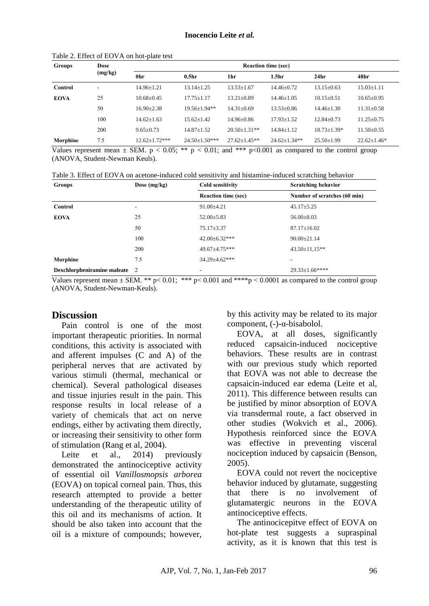| <b>Groups</b> | <b>Dose</b><br>(mg/kg) | <b>Reaction time (sec)</b> |                   |                  |                    |                   |                   |
|---------------|------------------------|----------------------------|-------------------|------------------|--------------------|-------------------|-------------------|
|               |                        | 0hr                        | 0.5 <sub>hr</sub> | 1hr              | 1.5 <sub>hr</sub>  | 24 <sub>hr</sub>  | 48hr              |
| Control       | ٠                      | $14.96 \pm 1.21$           | $13.14 \pm 1.25$  | $13.53 \pm 1.67$ | $14.46 \pm 0.72$   | $13.15 \pm 0.63$  | $15.03 \pm 1.11$  |
| <b>EOVA</b>   | 25                     | $10.68 + 0.45$             | $17.75 \pm 1.17$  | $13.21 + 0.89$   | $14.46 \pm 1.05$   | $10.15 \pm 0.51$  | $10.65 \pm 0.95$  |
|               | 50                     | $16.90 \pm 2.38$           | $19.56 + 1.94$ ** | $14.31 \pm 0.69$ | $13.53 + 0.86$     | $14.46 + 1.30$    | $11.31 \pm 0.58$  |
|               | 100                    | $14.62+1.63$               | $15.62 + 1.42$    | $14.96 + 0.86$   | $17.93 \pm 1.52$   | $12.84 + 0.73$    | $11.25 \pm 0.75$  |
|               | 200                    | $9.65 \pm 0.73$            | $14.87 \pm 1.52$  | $20.50 + 1.31**$ | $14.84 + 1.12$     | $18.73 \pm 1.39*$ | $11.50 \pm 0.55$  |
| Morphine      | 7.5                    | $12.62 + 1.72$ ***         | $24.50+1.50***$   | $27.62 + 1.45**$ | $24.62 \pm 1.34**$ | $25.50 \pm 1.99$  | $22.62 \pm 1.46*$ |

#### Table 2. Effect of EOVA on hot-plate test

Values represent mean  $\pm$  SEM. p < 0.05; \*\* p < 0.01; and \*\*\* p<0.001 as compared to the control group (ANOVA, Student-Newman Keuls).

| Table 3. Effect of EOVA on acetone-induced cold sensitivity and histamine-induced scratching behavior |  |  |
|-------------------------------------------------------------------------------------------------------|--|--|
|-------------------------------------------------------------------------------------------------------|--|--|

| <b>Groups</b>               | Dose $(mg/kg)$ | Cold sensitivity           | <b>Scratching behavior</b>   |  |
|-----------------------------|----------------|----------------------------|------------------------------|--|
|                             |                | <b>Reaction time (sec)</b> | Number of scratches (60 min) |  |
| Control                     | ۰              | $91.00 \pm 4.21$           | $45.17 \pm 5.25$             |  |
| <b>EOVA</b>                 | 25             | $52.00 \pm 5.83$           | $56.00 \pm 8.03$             |  |
|                             | 50             | $75.17 \pm 3.37$           | $87.17 \pm 16.02$            |  |
|                             | 100            | $42.00 \pm 6.32$ ***       | $90.00 \pm 21.14$            |  |
|                             | 200            | $49.67 \pm 4.75$ ***       | $43.50 \pm 11.15**$          |  |
| Morphine                    | 7.5            | $34.29 \pm 4.62$ ***       |                              |  |
| Dexchlorpheniramine maleate | $\overline{2}$ | ۰                          | $29.33 \pm 1.66$ ****        |  |

Values represent mean  $\pm$  SEM. \*\* p< 0.01; \*\*\* p< 0.001 and \*\*\*\* p < 0.0001 as compared to the control group (ANOVA, Student-Newman-Keuls).

#### **Discussion**

Pain control is one of the most important therapeutic priorities. In normal conditions, this activity is associated with and afferent impulses (C and A) of the peripheral nerves that are activated by various stimuli (thermal, mechanical or chemical). Several pathological diseases and tissue injuries result in the pain. This response results in local release of a variety of chemicals that act on nerve endings, either by activating them directly, or increasing their sensitivity to other form of stimulation (Rang et al, 2004).

Leite et al., 2014) previously demonstrated the antinociceptive activity of essential oil *Vanillosmopsis arborea* (EOVA) on topical corneal pain. Thus, this research attempted to provide a better understanding of the therapeutic utility of this oil and its mechanisms of action. It should be also taken into account that the oil is a mixture of compounds; however, by this activity may be related to its major component, (-)-α-bisabolol.

EOVA, at all doses, significantly reduced capsaicin-induced nociceptive behaviors. These results are in contrast with our previous study which reported that EOVA was not able to decrease the capsaicin-induced ear edema (Leite et al, 2011). This difference between results can be justified by minor absorption of EOVA via transdermal route, a fact observed in other studies (Wokvich et al., 2006). Hypothesis reinforced since the EOVA was effective in preventing visceral nociception induced by capsaicin (Benson, 2005).

EOVA could not revert the nociceptive behavior induced by glutamate, suggesting that there is no involvement of glutamatergic neurons in the EOVA antinociceptive effects.

The antinocicepitve effect of EOVA on hot-plate test suggests a supraspinal activity, as it is known that this test is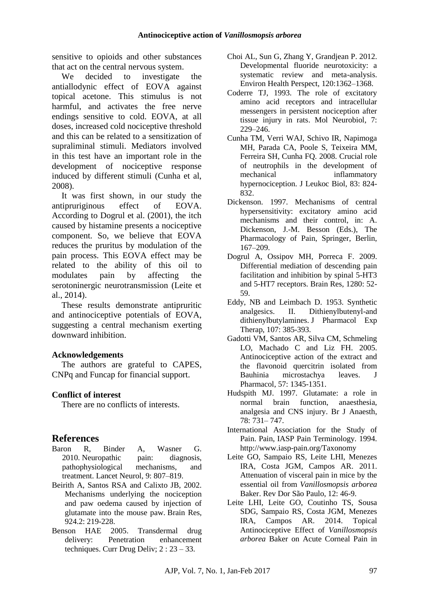sensitive to opioids and other substances that act on the central nervous system.

We decided to investigate the antiallodynic effect of EOVA against topical acetone. This stimulus is not harmful, and activates the free nerve endings sensitive to cold. EOVA, at all doses, increased cold nociceptive threshold and this can be related to a sensitization of supraliminal stimuli. Mediators involved in this test have an important role in the development of nociceptive response induced by different stimuli (Cunha et al, 2008).

It was first shown, in our study the antipruriginous effect of EOVA. According to Dogrul et al. (2001), the itch caused by histamine presents a nociceptive component. So, we believe that EOVA reduces the pruritus by modulation of the pain process. This EOVA effect may be related to the ability of this oil to modulates pain by affecting the serotoninergic neurotransmission (Leite et al., 2014).

These results demonstrate antipruritic and antinociceptive potentials of EOVA, suggesting a central mechanism exerting downward inhibition.

### **Acknowledgements**

The authors are grateful to CAPES, CNPq and Funcap for financial support.

### **Conflict of interest**

There are no conflicts of interests.

### **References**

- Baron R, Binder A, Wasner G. 2010. Neuropathic pain: diagnosis, pathophysiological mechanisms, and treatment. Lancet Neurol, 9: 807–819.
- Beirith A, Santos RSA and Calixto JB, 2002. Mechanisms underlying the nociception and paw oedema caused by injection of glutamate into the mouse paw. Brain Res, 924.2: 219-228.
- Benson HAE 2005. Transdermal drug delivery: Penetration enhancement techniques. Curr Drug Deliv; 2 : 23 – 33.
- Choi AL, Sun G, Zhang Y, Grandjean P. 2012. Developmental fluoride neurotoxicity: a systematic review and meta-analysis. Environ Health Perspect, 120:1362–1368.
- Coderre TJ, 1993. The role of excitatory amino acid receptors and intracellular messengers in persistent nociception after tissue injury in rats. Mol Neurobiol*,* 7: 229–246.
- Cunha TM, Verri WAJ, Schivo IR, Napimoga MH, Parada CA, Poole S, Teixeira MM, Ferreira SH, Cunha FQ. 2008. Crucial role of neutrophils in the development of mechanical inflammatory hypernociception. J Leukoc Biol, 83: 824- 832.
- Dickenson. 1997. Mechanisms of central hypersensitivity: excitatory amino acid mechanisms and their control, in: A. Dickenson, J.-M. Besson (Eds.), The Pharmacology of Pain, Springer, Berlin, 167–209.
- Dogrul A, Ossipov MH, Porreca F. 2009. Differential mediation of descending pain facilitation and inhibition by spinal 5-HT3 and 5-HT7 receptors. Brain Res, 1280: 52- 59.
- Eddy, NB and Leimbach D. 1953. Synthetic analgesics. II. Dithienylbutenyl-and dithienylbutylamines. J Pharmacol Exp Therap, 107: 385-393.
- Gadotti VM, Santos AR, Silva CM, Schmeling LO, Machado C and Liz FH. 2005. Antinociceptive action of the extract and the flavonoid quercitrin isolated from Bauhinia microstachya leaves. J Pharmacol, 57: 1345-1351.
- Hudspith MJ. 1997. Glutamate: a role in normal brain function, anaesthesia, analgesia and CNS injury. Br J Anaesth, 78: 731– 747.
- International Association for the Study of Pain. Pain, IASP Pain Terminology. 1994. http://www.iasp-pain.org/Taxonomy
- Leite GO, Sampaio RS, Leite LHI, Menezes IRA, Costa JGM, Campos AR. 2011. Attenuation of visceral pain in mice by the essential oil from *Vanillosmopsis arborea* Baker. Rev Dor São Paulo, 12: 46-9.
- Leite LHI, Leite GO, Coutinho TS, Sousa SDG, Sampaio RS, Costa JGM, Menezes IRA, Campos AR. 2014. Topical Antinociceptive Effect of *Vanillosmopsis arborea* Baker on Acute Corneal Pain in